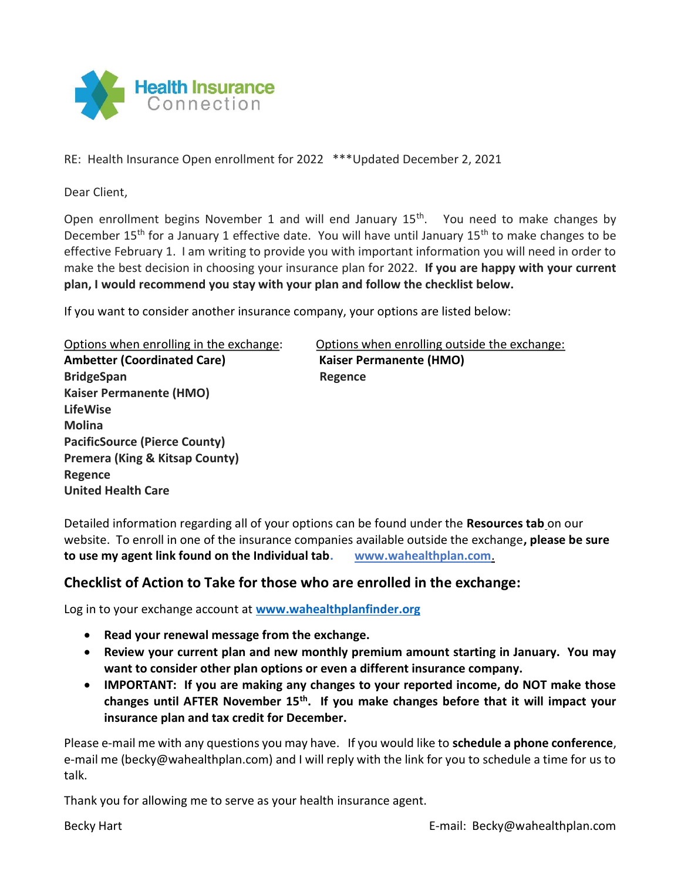

RE: Health Insurance Open enrollment for 2022 \*\*\*Updated December 2, 2021

Dear Client,

Open enrollment begins November 1 and will end January  $15<sup>th</sup>$ . You need to make changes by December 15<sup>th</sup> for a January 1 effective date. You will have until January 15<sup>th</sup> to make changes to be effective February 1. I am writing to provide you with important information you will need in order to make the best decision in choosing your insurance plan for 2022. If you are happy with your current plan, I would recommend you stay with your plan and follow the checklist below.

If you want to consider another insurance company, your options are listed below:

Ambetter (Coordinated Care) Kaiser Permanente (HMO) BridgeSpan Regence Kaiser Permanente (HMO) LifeWise Molina PacificSource (Pierce County) Premera (King & Kitsap County) Regence United Health Care

Options when enrolling in the exchange: Options when enrolling outside the exchange:

Detailed information regarding all of your options can be found under the Resources tab on our website. To enroll in one of the insurance companies available outside the exchange, please be sure to use my agent link found on the Individual tab. www.wahealthplan.com.

## Checklist of Action to Take for those who are enrolled in the exchange:

Log in to your exchange account at www.wahealthplanfinder.org

- Read your renewal message from the exchange.
- Review your current plan and new monthly premium amount starting in January. You may want to consider other plan options or even a different insurance company.
- IMPORTANT: If you are making any changes to your reported income, do NOT make those changes until AFTER November  $15<sup>th</sup>$ . If you make changes before that it will impact your insurance plan and tax credit for December.

Please e-mail me with any questions you may have. If you would like to schedule a phone conference, e-mail me (becky@wahealthplan.com) and I will reply with the link for you to schedule a time for us to talk.

Thank you for allowing me to serve as your health insurance agent.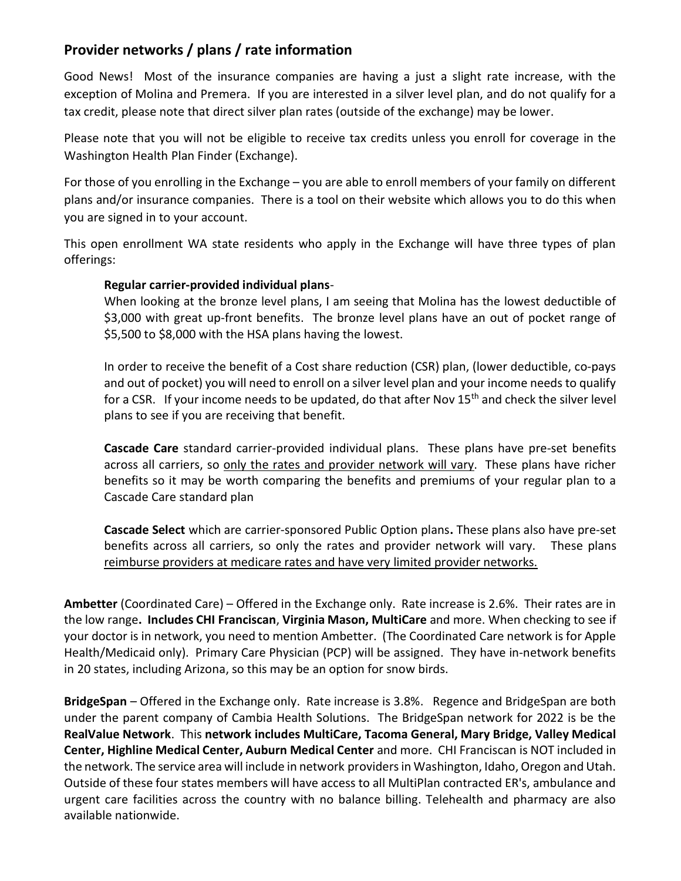## Provider networks / plans / rate information

Good News! Most of the insurance companies are having a just a slight rate increase, with the exception of Molina and Premera. If you are interested in a silver level plan, and do not qualify for a tax credit, please note that direct silver plan rates (outside of the exchange) may be lower.

Please note that you will not be eligible to receive tax credits unless you enroll for coverage in the Washington Health Plan Finder (Exchange).

For those of you enrolling in the Exchange – you are able to enroll members of your family on different plans and/or insurance companies. There is a tool on their website which allows you to do this when you are signed in to your account.

This open enrollment WA state residents who apply in the Exchange will have three types of plan offerings:

## Regular carrier-provided individual plans-

When looking at the bronze level plans, I am seeing that Molina has the lowest deductible of \$3,000 with great up-front benefits. The bronze level plans have an out of pocket range of \$5,500 to \$8,000 with the HSA plans having the lowest.

In order to receive the benefit of a Cost share reduction (CSR) plan, (lower deductible, co-pays and out of pocket) you will need to enroll on a silver level plan and your income needs to qualify for a CSR. If your income needs to be updated, do that after Nov 15<sup>th</sup> and check the silver level plans to see if you are receiving that benefit.

Cascade Care standard carrier-provided individual plans. These plans have pre-set benefits across all carriers, so only the rates and provider network will vary. These plans have richer benefits so it may be worth comparing the benefits and premiums of your regular plan to a Cascade Care standard plan

Cascade Select which are carrier-sponsored Public Option plans. These plans also have pre-set benefits across all carriers, so only the rates and provider network will vary. These plans reimburse providers at medicare rates and have very limited provider networks.

Ambetter (Coordinated Care) - Offered in the Exchange only. Rate increase is 2.6%. Their rates are in the low range. Includes CHI Franciscan, Virginia Mason, MultiCare and more. When checking to see if your doctor is in network, you need to mention Ambetter. (The Coordinated Care network is for Apple Health/Medicaid only). Primary Care Physician (PCP) will be assigned. They have in-network benefits in 20 states, including Arizona, so this may be an option for snow birds.

BridgeSpan – Offered in the Exchange only. Rate increase is 3.8%. Regence and BridgeSpan are both under the parent company of Cambia Health Solutions. The BridgeSpan network for 2022 is be the RealValue Network. This network includes MultiCare, Tacoma General, Mary Bridge, Valley Medical Center, Highline Medical Center, Auburn Medical Center and more. CHI Franciscan is NOT included in the network. The service area will include in network providers in Washington, Idaho, Oregon and Utah. Outside of these four states members will have access to all MultiPlan contracted ER's, ambulance and urgent care facilities across the country with no balance billing. Telehealth and pharmacy are also available nationwide.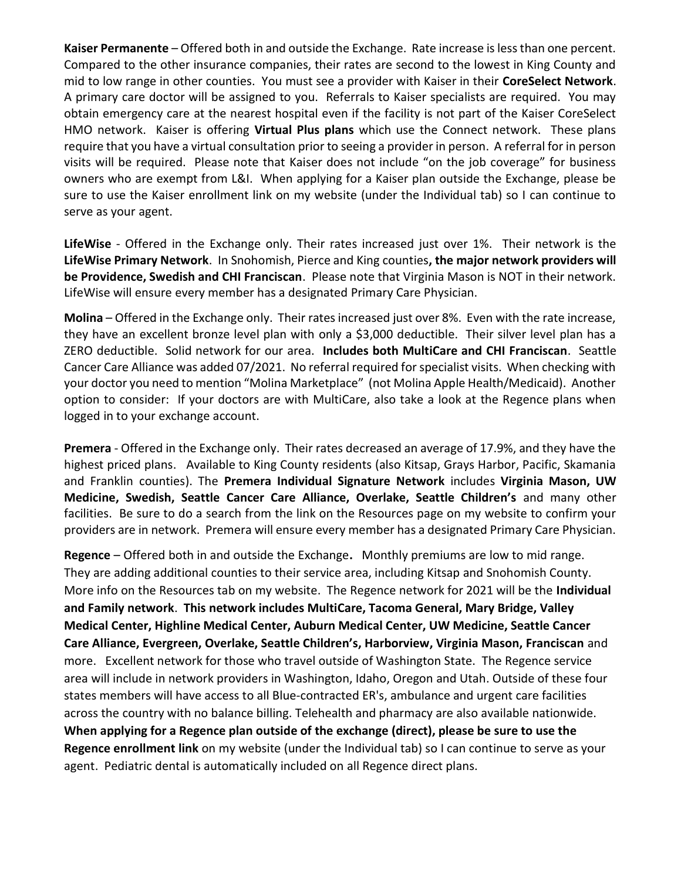Kaiser Permanente – Offered both in and outside the Exchange. Rate increase is less than one percent. Compared to the other insurance companies, their rates are second to the lowest in King County and mid to low range in other counties. You must see a provider with Kaiser in their CoreSelect Network. A primary care doctor will be assigned to you. Referrals to Kaiser specialists are required. You may obtain emergency care at the nearest hospital even if the facility is not part of the Kaiser CoreSelect HMO network. Kaiser is offering Virtual Plus plans which use the Connect network. These plans require that you have a virtual consultation prior to seeing a provider in person. A referral for in person visits will be required. Please note that Kaiser does not include "on the job coverage" for business owners who are exempt from L&I. When applying for a Kaiser plan outside the Exchange, please be sure to use the Kaiser enrollment link on my website (under the Individual tab) so I can continue to serve as your agent.

LifeWise - Offered in the Exchange only. Their rates increased just over 1%. Their network is the LifeWise Primary Network. In Snohomish, Pierce and King counties, the major network providers will be Providence, Swedish and CHI Franciscan. Please note that Virginia Mason is NOT in their network. LifeWise will ensure every member has a designated Primary Care Physician.

Molina – Offered in the Exchange only. Their rates increased just over 8%. Even with the rate increase, they have an excellent bronze level plan with only a \$3,000 deductible. Their silver level plan has a ZERO deductible. Solid network for our area. Includes both MultiCare and CHI Franciscan. Seattle Cancer Care Alliance was added 07/2021. No referral required for specialist visits. When checking with your doctor you need to mention "Molina Marketplace" (not Molina Apple Health/Medicaid). Another option to consider: If your doctors are with MultiCare, also take a look at the Regence plans when logged in to your exchange account.

Premera - Offered in the Exchange only. Their rates decreased an average of 17.9%, and they have the highest priced plans. Available to King County residents (also Kitsap, Grays Harbor, Pacific, Skamania and Franklin counties). The Premera Individual Signature Network includes Virginia Mason, UW Medicine, Swedish, Seattle Cancer Care Alliance, Overlake, Seattle Children's and many other facilities. Be sure to do a search from the link on the Resources page on my website to confirm your providers are in network. Premera will ensure every member has a designated Primary Care Physician.

Regence – Offered both in and outside the Exchange. Monthly premiums are low to mid range. They are adding additional counties to their service area, including Kitsap and Snohomish County. More info on the Resources tab on my website. The Regence network for 2021 will be the Individual and Family network. This network includes MultiCare, Tacoma General, Mary Bridge, Valley Medical Center, Highline Medical Center, Auburn Medical Center, UW Medicine, Seattle Cancer Care Alliance, Evergreen, Overlake, Seattle Children's, Harborview, Virginia Mason, Franciscan and more. Excellent network for those who travel outside of Washington State. The Regence service area will include in network providers in Washington, Idaho, Oregon and Utah. Outside of these four states members will have access to all Blue-contracted ER's, ambulance and urgent care facilities across the country with no balance billing. Telehealth and pharmacy are also available nationwide. When applying for a Regence plan outside of the exchange (direct), please be sure to use the Regence enrollment link on my website (under the Individual tab) so I can continue to serve as your agent. Pediatric dental is automatically included on all Regence direct plans.